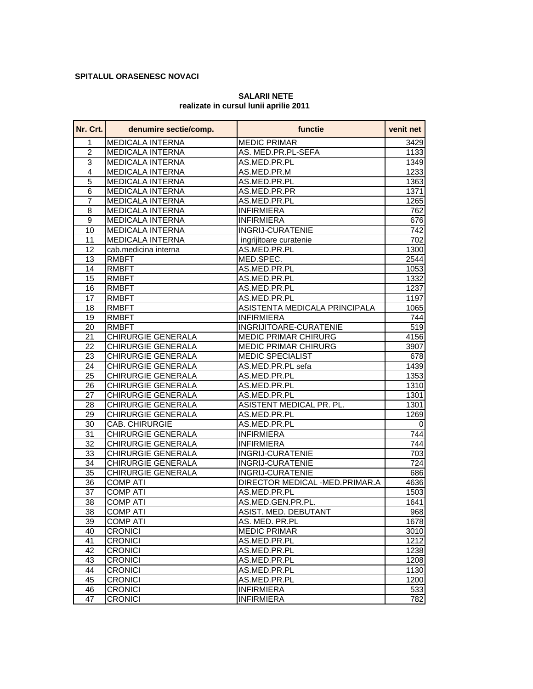## **SPITALUL ORASENESC NOVACI**

## **SALARII NETE realizate in cursul lunii aprilie 2011**

| Nr. Crt.        | denumire sectie/comp.     | functie                        | venit net   |
|-----------------|---------------------------|--------------------------------|-------------|
| 1               | <b>MEDICALA INTERNA</b>   | <b>MEDIC PRIMAR</b>            | 3429        |
| $\overline{2}$  | <b>MEDICALA INTERNA</b>   | AS. MED.PR.PL-SEFA             | 1133        |
| $\overline{3}$  | <b>MEDICALA INTERNA</b>   | AS.MED.PR.PL                   | 1349        |
| $\overline{4}$  | <b>MEDICALA INTERNA</b>   | AS.MED.PR.M                    | 1233        |
| 5               | <b>MEDICALA INTERNA</b>   | AS.MED.PR.PL                   | 1363        |
| $6\phantom{1}6$ | <b>MEDICALA INTERNA</b>   | AS.MED.PR.PR                   | 1371        |
| $\overline{7}$  | <b>MEDICALA INTERNA</b>   | AS.MED.PR.PL                   | 1265        |
| 8               | <b>MEDICALA INTERNA</b>   | <b>INFIRMIERA</b>              | 762         |
| $\overline{9}$  | <b>MEDICALA INTERNA</b>   | <b>INFIRMIERA</b>              | 676         |
| 10              | <b>MEDICALA INTERNA</b>   | <b>INGRIJ-CURATENIE</b>        | 742         |
| $\overline{11}$ | <b>MEDICALA INTERNA</b>   | ingrijitoare curatenie         | 702         |
| 12              | cab.medicina interna      | AS.MED.PR.PL                   | 1300        |
| 13              | <b>RMBFT</b>              | MED.SPEC.                      | 2544        |
| 14              | <b>RMBFT</b>              | AS.MED.PR.PL                   | 1053        |
| 15              | <b>RMBFT</b>              | AS.MED.PR.PL                   | 1332        |
| 16              | <b>RMBFT</b>              | AS.MED.PR.PL                   | 1237        |
| 17              | <b>RMBFT</b>              | AS.MED.PR.PL                   | 1197        |
| 18              | <b>RMBFT</b>              | ASISTENTA MEDICALA PRINCIPALA  | 1065        |
| 19              | <b>RMBFT</b>              | <b>INFIRMIERA</b>              | 744         |
| 20              | <b>RMBFT</b>              | INGRIJITOARE-CURATENIE         | 519         |
| 21              | <b>CHIRURGIE GENERALA</b> | <b>MEDIC PRIMAR CHIRURG</b>    | 4156        |
| 22              | <b>CHIRURGIE GENERALA</b> | <b>MEDIC PRIMAR CHIRURG</b>    | 3907        |
| 23              | <b>CHIRURGIE GENERALA</b> | <b>MEDIC SPECIALIST</b>        | 678         |
| 24              | <b>CHIRURGIE GENERALA</b> | AS.MED.PR.PL sefa              | 1439        |
| 25              | <b>CHIRURGIE GENERALA</b> | AS.MED.PR.PL                   | 1353        |
| 26              | <b>CHIRURGIE GENERALA</b> | AS.MED.PR.PL                   | 1310        |
| 27              | <b>CHIRURGIE GENERALA</b> | AS.MED.PR.PL                   | 1301        |
| 28              | <b>CHIRURGIE GENERALA</b> | ASISTENT MEDICAL PR. PL.       | 1301        |
| 29              | <b>CHIRURGIE GENERALA</b> | AS.MED.PR.PL                   | 1269        |
| 30              | CAB. CHIRURGIE            | AS.MED.PR.PL                   | $\mathbf 0$ |
| 31              | CHIRURGIE GENERALA        | <b>INFIRMIERA</b>              | 744         |
| $\overline{32}$ | CHIRURGIE GENERALA        | <b>INFIRMIERA</b>              | 744         |
| 33              | CHIRURGIE GENERALA        | <b>INGRIJ-CURATENIE</b>        | 703         |
| 34              | CHIRURGIE GENERALA        | <b>INGRIJ-CURATENIE</b>        | 724         |
| $\overline{35}$ | <b>CHIRURGIE GENERALA</b> | <b>INGRIJ-CURATENIE</b>        | 686         |
| 36              | <b>COMP ATI</b>           | DIRECTOR MEDICAL -MED.PRIMAR.A | 4636        |
| 37              | <b>COMP ATI</b>           | AS.MED.PR.PL                   | 1503        |
| 38              | <b>COMP ATI</b>           | AS.MED.GEN.PR.PL.              | 1641        |
| 38              | <b>COMP ATI</b>           | ASIST. MED. DEBUTANT           | 968         |
| 39              | <b>COMP ATI</b>           | AS. MED. PR.PL                 | 1678        |
| 40              | <b>CRONICI</b>            | <b>MEDIC PRIMAR</b>            | 3010        |
| 41              | <b>CRONICI</b>            | AS.MED.PR.PL                   | 1212        |
| 42              | <b>CRONICI</b>            | AS.MED.PR.PL                   | 1238        |
| 43              | <b>CRONICI</b>            | AS.MED.PR.PL                   | 1208        |
| 44              | <b>CRONICI</b>            | AS.MED.PR.PL                   | 1130        |
| 45              | <b>CRONICI</b>            | AS.MED.PR.PL                   | 1200        |
| 46              | <b>CRONICI</b>            | <b>INFIRMIERA</b>              | 533         |
| 47              | <b>CRONICI</b>            | <b>INFIRMIERA</b>              | 782         |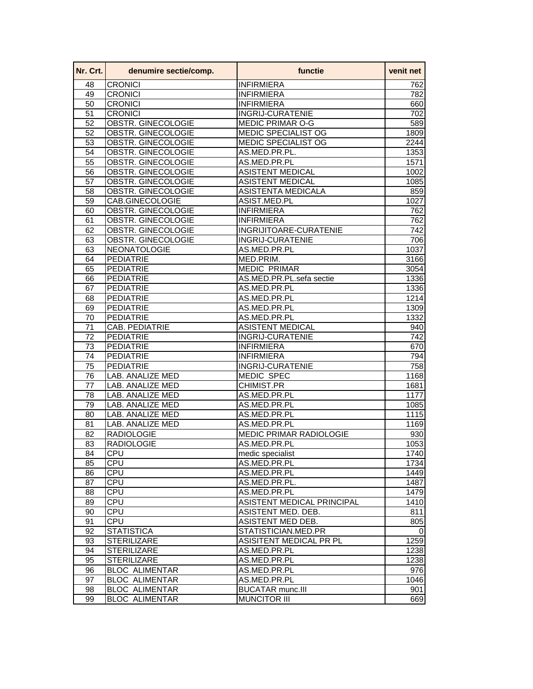| Nr. Crt.        | denumire sectie/comp.     | functie                        | venit net         |
|-----------------|---------------------------|--------------------------------|-------------------|
| 48              | <b>CRONICI</b>            | <b>INFIRMIERA</b>              | 762               |
| 49              | <b>CRONICI</b>            | <b>INFIRMIERA</b>              | 782               |
| 50              | <b>CRONICI</b>            | <b>INFIRMIERA</b>              | 660               |
| $\overline{51}$ | <b>CRONICI</b>            | <b>INGRIJ-CURATENIE</b>        | 702               |
| 52              | OBSTR. GINECOLOGIE        | <b>MEDIC PRIMAR O-G</b>        | 589               |
| 52              | OBSTR. GINECOLOGIE        | MEDIC SPECIALIST OG            | 1809              |
| $\overline{53}$ | OBSTR. GINECOLOGIE        | MEDIC SPECIALIST OG            | 2244              |
| $\overline{54}$ | OBSTR. GINECOLOGIE        | AS.MED.PR.PL.                  | 1353              |
| $\overline{55}$ | OBSTR. GINECOLOGIE        | AS.MED.PR.PL                   | 1571              |
| 56              | OBSTR. GINECOLOGIE        | <b>ASISTENT MEDICAL</b>        | 1002              |
| $\overline{57}$ | OBSTR. GINECOLOGIE        | <b>ASISTENT MEDICAL</b>        | 1085              |
| 58              | OBSTR. GINECOLOGIE        | <b>ASISTENTA MEDICALA</b>      | 859               |
| 59              | CAB.GINECOLOGIE           | ASIST.MED.PL                   | 1027              |
| 60              | OBSTR. GINECOLOGIE        | <b>INFIRMIERA</b>              | 762               |
| 61              | <b>OBSTR. GINECOLOGIE</b> | <b>INFIRMIERA</b>              | 762               |
| 62              | OBSTR. GINECOLOGIE        | INGRIJITOARE-CURATENIE         | 742               |
| 63              | OBSTR. GINECOLOGIE        | <b>INGRIJ-CURATENIE</b>        | 706               |
| 63              | NEONATOLOGIE              | AS.MED.PR.PL                   | 1037              |
| 64              | <b>PEDIATRIE</b>          | MED.PRIM.                      | 3166              |
| 65              | <b>PEDIATRIE</b>          | <b>MEDIC PRIMAR</b>            | 3054              |
| 66              | <b>PEDIATRIE</b>          | AS.MED.PR.PL.sefa sectie       | 1336              |
| 67              | <b>PEDIATRIE</b>          | AS.MED.PR.PL                   | 1336              |
| 68              | <b>PEDIATRIE</b>          | AS.MED.PR.PL                   | 1214              |
| 69              | <b>PEDIATRIE</b>          | AS.MED.PR.PL                   | 1309              |
| 70              | <b>PEDIATRIE</b>          | AS.MED.PR.PL                   | 1332              |
| 71              | <b>CAB. PEDIATRIE</b>     | <b>ASISTENT MEDICAL</b>        | 940               |
| $\overline{72}$ | <b>PEDIATRIE</b>          | <b>INGRIJ-CURATENIE</b>        | $\overline{7}$ 42 |
| $\overline{73}$ | <b>PEDIATRIE</b>          | <b>INFIRMIERA</b>              | 670               |
| 74              | <b>PEDIATRIE</b>          | <b>INFIRMIERA</b>              | 794               |
| 75              | <b>PEDIATRIE</b>          | <b>INGRIJ-CURATENIE</b>        | 758               |
| 76              | LAB. ANALIZE MED          | <b>MEDIC SPEC</b>              | 1168              |
| 77              | LAB. ANALIZE MED          | <b>CHIMIST.PR</b>              | 1681              |
| 78              | LAB. ANALIZE MED          | AS.MED.PR.PL                   | 1177              |
| 79              | LAB. ANALIZE MED          | AS.MED.PR.PL                   | 1085              |
| 80              | LAB. ANALIZE MED          | AS.MED.PR.PL                   | 1115              |
| 81              | LAB. ANALIZE MED          | AS.MED.PR.PL                   | 1169              |
| 82              | <b>RADIOLOGIE</b>         | <b>MEDIC PRIMAR RADIOLOGIE</b> | 930               |
| 83              | <b>RADIOLOGIE</b>         | AS.MED.PR.PL                   | 1053              |
| 84              | <b>CPU</b>                | medic specialist               | 1740              |
| 85              | CPU                       | AS.MED.PR.PL                   | 1734              |
| 86              | <b>CPU</b>                | AS.MED.PR.PL                   | 1449              |
| 87              | <b>CPU</b>                | AS.MED.PR.PL.                  | 1487              |
| 88              | CPU                       | AS.MED.PR.PL                   | 1479              |
| 89              | <b>CPU</b>                | ASISTENT MEDICAL PRINCIPAL     |                   |
| 90              |                           | ASISTENT MED. DEB.             | 1410              |
|                 | CPU                       |                                | 811               |
| 91              | <b>CPU</b>                | ASISTENT MED DEB.              | 805               |
| 92              | <b>STATISTICA</b>         | STATISTICIAN.MED.PR            | 0                 |
| 93              | <b>STERILIZARE</b>        | ASISITENT MEDICAL PR PL        | 1259              |
| 94              | <b>STERILIZARE</b>        | AS.MED.PR.PL                   | 1238              |
| 95              | <b>STERILIZARE</b>        | AS.MED.PR.PL                   | 1238              |
| 96              | <b>BLOC ALIMENTAR</b>     | AS.MED.PR.PL                   | 976               |
| 97              | <b>BLOC ALIMENTAR</b>     | AS.MED.PR.PL                   | 1046              |
| 98              | <b>BLOC ALIMENTAR</b>     | <b>BUCATAR munc.III</b>        | 901               |
| 99              | <b>BLOC ALIMENTAR</b>     | <b>MUNCITOR III</b>            | 669               |